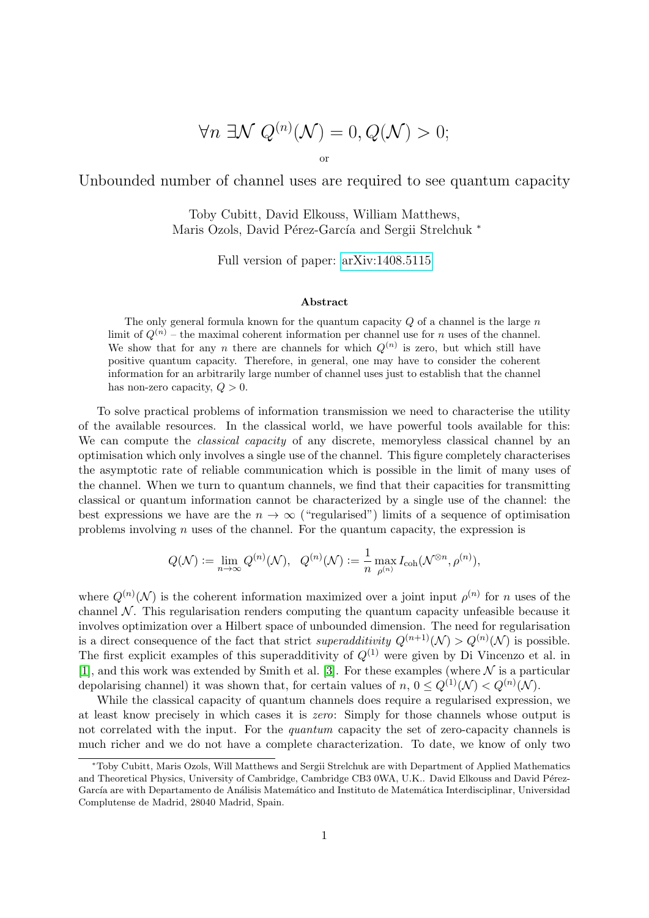$$
\forall n \exists \mathcal{N} \ Q^{(n)}(\mathcal{N}) = 0, Q(\mathcal{N}) > 0;
$$

or

Unbounded number of channel uses are required to see quantum capacity

Toby Cubitt, David Elkouss, William Matthews, Maris Ozols, David Pérez-García and Sergii Strelchuk \*

Full version of paper: [arXiv:1408.5115](http://arxiv.org/abs/1408.5115)

## Abstract

The only general formula known for the quantum capacity  $Q$  of a channel is the large  $n$ limit of  $Q^{(n)}$  – the maximal coherent information per channel use for n uses of the channel. We show that for any n there are channels for which  $Q^{(n)}$  is zero, but which still have positive quantum capacity. Therefore, in general, one may have to consider the coherent information for an arbitrarily large number of channel uses just to establish that the channel has non-zero capacity,  $Q > 0$ .

To solve practical problems of information transmission we need to characterise the utility of the available resources. In the classical world, we have powerful tools available for this: We can compute the *classical capacity* of any discrete, memoryless classical channel by an optimisation which only involves a single use of the channel. This figure completely characterises the asymptotic rate of reliable communication which is possible in the limit of many uses of the channel. When we turn to quantum channels, we find that their capacities for transmitting classical or quantum information cannot be characterized by a single use of the channel: the best expressions we have are the  $n \to \infty$  ("regularised") limits of a sequence of optimisation problems involving  $n$  uses of the channel. For the quantum capacity, the expression is

$$
Q(\mathcal{N}):=\lim_{n\to\infty}Q^{(n)}(\mathcal{N}),\ \ Q^{(n)}(\mathcal{N}):=\frac{1}{n}\max_{\rho^{(n)}}I_{\mathrm{coh}}(\mathcal{N}^{\otimes n},\rho^{(n)}),
$$

where  $Q^{(n)}(\mathcal{N})$  is the coherent information maximized over a joint input  $\rho^{(n)}$  for n uses of the channel  $\mathcal N$ . This regularisation renders computing the quantum capacity unfeasible because it involves optimization over a Hilbert space of unbounded dimension. The need for regularisation is a direct consequence of the fact that strict superadditivity  $Q^{(n+1)}(\mathcal{N}) > Q^{(n)}(\mathcal{N})$  is possible. The first explicit examples of this superadditivity of  $Q^{(1)}$  were given by Di Vincenzo et al. in [\[1\]](#page-2-0), and this work was extended by Smith et al. [\[3\]](#page-3-0). For these examples (where  $\mathcal N$  is a particular depolarising channel) it was shown that, for certain values of  $n, 0 \leq Q^{(1)}(\mathcal{N}) < Q^{(n)}(\mathcal{N})$ .

While the classical capacity of quantum channels does require a regularised expression, we at least know precisely in which cases it is zero: Simply for those channels whose output is not correlated with the input. For the *quantum* capacity the set of zero-capacity channels is much richer and we do not have a complete characterization. To date, we know of only two

<sup>∗</sup>Toby Cubitt, Maris Ozols, Will Matthews and Sergii Strelchuk are with Department of Applied Mathematics and Theoretical Physics, University of Cambridge, Cambridge CB3 0WA, U.K.. David Elkouss and David Pérez-García are with Departamento de Análisis Matemático and Instituto de Matemática Interdisciplinar, Universidad Complutense de Madrid, 28040 Madrid, Spain.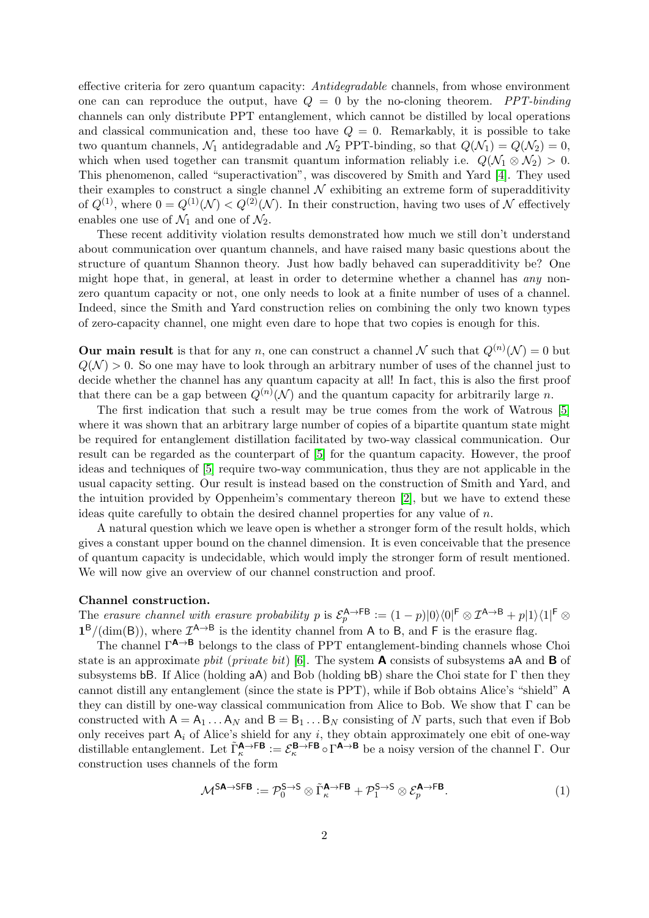effective criteria for zero quantum capacity: Antidegradable channels, from whose environment one can can reproduce the output, have  $Q = 0$  by the no-cloning theorem. *PPT-binding* channels can only distribute PPT entanglement, which cannot be distilled by local operations and classical communication and, these too have  $Q = 0$ . Remarkably, it is possible to take two quantum channels,  $\mathcal{N}_1$  antidegradable and  $\mathcal{N}_2$  PPT-binding, so that  $Q(\mathcal{N}_1) = Q(\mathcal{N}_2) = 0$ , which when used together can transmit quantum information reliably i.e.  $Q(\mathcal{N}_1 \otimes \mathcal{N}_2) > 0$ . This phenomenon, called "superactivation", was discovered by Smith and Yard [\[4\]](#page-3-1). They used their examples to construct a single channel  $\mathcal N$  exhibiting an extreme form of superadditivity of  $Q^{(1)}$ , where  $0 = Q^{(1)}(\mathcal{N}) < Q^{(2)}(\mathcal{N})$ . In their construction, having two uses of N effectively enables one use of  $\mathcal{N}_1$  and one of  $\mathcal{N}_2$ .

These recent additivity violation results demonstrated how much we still don't understand about communication over quantum channels, and have raised many basic questions about the structure of quantum Shannon theory. Just how badly behaved can superadditivity be? One might hope that, in general, at least in order to determine whether a channel has any nonzero quantum capacity or not, one only needs to look at a finite number of uses of a channel. Indeed, since the Smith and Yard construction relies on combining the only two known types of zero-capacity channel, one might even dare to hope that two copies is enough for this.

**Our main result** is that for any n, one can construct a channel N such that  $Q^{(n)}(\mathcal{N}) = 0$  but  $Q(N) > 0$ . So one may have to look through an arbitrary number of uses of the channel just to decide whether the channel has any quantum capacity at all! In fact, this is also the first proof that there can be a gap between  $Q^{(n)}(\mathcal{N})$  and the quantum capacity for arbitrarily large n.

The first indication that such a result may be true comes from the work of Watrous [\[5\]](#page-3-2) where it was shown that an arbitrary large number of copies of a bipartite quantum state might be required for entanglement distillation facilitated by two-way classical communication. Our result can be regarded as the counterpart of [\[5\]](#page-3-2) for the quantum capacity. However, the proof ideas and techniques of [\[5\]](#page-3-2) require two-way communication, thus they are not applicable in the usual capacity setting. Our result is instead based on the construction of Smith and Yard, and the intuition provided by Oppenheim's commentary thereon [\[2\]](#page-2-1), but we have to extend these ideas quite carefully to obtain the desired channel properties for any value of  $n$ .

A natural question which we leave open is whether a stronger form of the result holds, which gives a constant upper bound on the channel dimension. It is even conceivable that the presence of quantum capacity is undecidable, which would imply the stronger form of result mentioned. We will now give an overview of our channel construction and proof.

## Channel construction.

The erasure channel with erasure probability p is  $\mathcal{E}_p^{\mathsf{A}\to\mathsf{FB}} := (1-p)|0\rangle\langle 0|^{\mathsf{F}} \otimes \mathcal{I}^{\mathsf{A}\to\mathsf{B}} + p|1\rangle\langle 1|^{\mathsf{F}} \otimes$  $1^B/(\dim(B))$ , where  $\mathcal{I}^{A\to B}$  is the identity channel from A to B, and F is the erasure flag.

The channel  $\Gamma^{A\rightarrow B}$  belongs to the class of PPT entanglement-binding channels whose Choi state is an approximate *pbit* (*private bit*) [\[6\]](#page-3-3). The system **A** consists of subsystems aA and **B** of subsystems bB. If Alice (holding  $aA$ ) and Bob (holding bB) share the Choi state for  $\Gamma$  then they cannot distill any entanglement (since the state is PPT), while if Bob obtains Alice's "shield" A they can distill by one-way classical communication from Alice to Bob. We show that Γ can be constructed with  $A = A_1 \dots A_N$  and  $B = B_1 \dots B_N$  consisting of N parts, such that even if Bob only receives part  $A_i$  of Alice's shield for any i, they obtain approximately one ebit of one-way distillable entanglement. Let  $\tilde{\Gamma}_{\kappa}^{\mathbf{A}\to\mathbf{FB}}:=\mathcal{E}_{\kappa}^{\mathbf{B}\to\mathbf{FB}}\circ\Gamma^{\mathbf{A}\to\mathbf{B}}$  be a noisy version of the channel  $\Gamma$ . Our construction uses channels of the form

$$
\mathcal{M}^{\mathsf{SA}\to\mathsf{SFB}} := \mathcal{P}_0^{\mathsf{S}\to\mathsf{S}} \otimes \tilde{\Gamma}_{\kappa}^{\mathsf{A}\to\mathsf{FB}} + \mathcal{P}_1^{\mathsf{S}\to\mathsf{S}} \otimes \mathcal{E}_p^{\mathsf{A}\to\mathsf{FB}}.\tag{1}
$$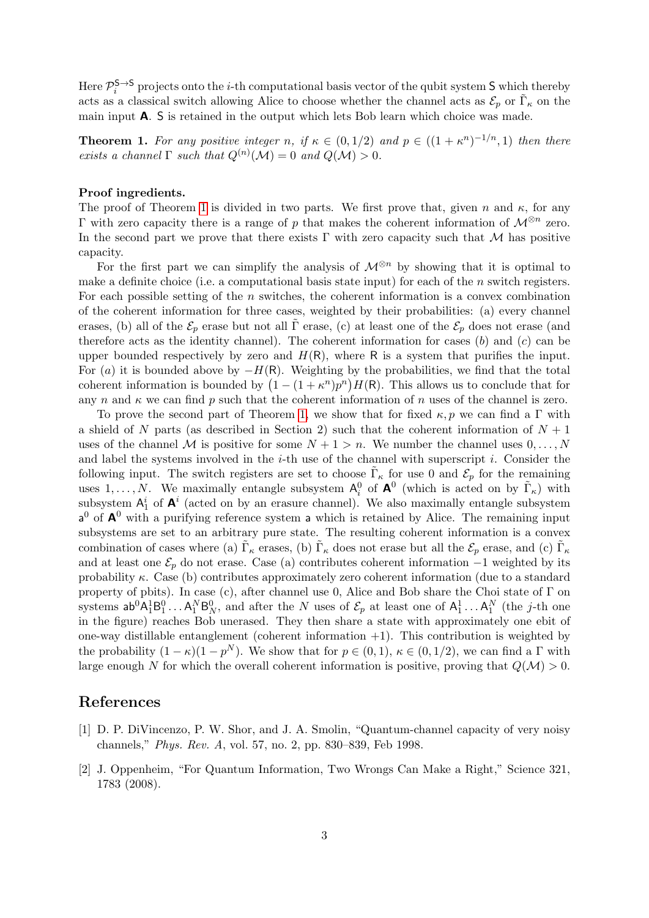Here  $\mathcal{P}_{i}^{\mathsf{S}\to\mathsf{S}}$  projects onto the *i*-th computational basis vector of the qubit system S which thereby acts as a classical switch allowing Alice to choose whether the channel acts as  $\mathcal{E}_p$  or  $\tilde{\Gamma}_{\kappa}$  on the main input A. S is retained in the output which lets Bob learn which choice was made.

<span id="page-2-2"></span>**Theorem 1.** For any positive integer n, if  $\kappa \in (0,1/2)$  and  $p \in ((1+\kappa^n)^{-1/n},1)$  then there exists a channel  $\Gamma$  such that  $Q^{(n)}(\mathcal{M}) = 0$  and  $Q(\mathcal{M}) > 0$ .

## Proof ingredients.

The proof of Theorem [1](#page-2-2) is divided in two parts. We first prove that, given n and  $\kappa$ , for any  $\Gamma$  with zero capacity there is a range of p that makes the coherent information of  $\mathcal{M}^{\otimes n}$  zero. In the second part we prove that there exists  $\Gamma$  with zero capacity such that M has positive capacity.

For the first part we can simplify the analysis of  $\mathcal{M}^{\otimes n}$  by showing that it is optimal to make a definite choice (i.e. a computational basis state input) for each of the n switch registers. For each possible setting of the n switches, the coherent information is a convex combination of the coherent information for three cases, weighted by their probabilities: (a) every channel erases, (b) all of the  $\mathcal{E}_p$  erase but not all Γ erase, (c) at least one of the  $\mathcal{E}_p$  does not erase (and therefore acts as the identity channel). The coherent information for cases  $(b)$  and  $(c)$  can be upper bounded respectively by zero and  $H(R)$ , where R is a system that purifies the input. For (a) it is bounded above by  $-H(R)$ . Weighting by the probabilities, we find that the total coherent information is bounded by  $(1 - (1 + \kappa^n)p^n)H(\mathsf{R})$ . This allows us to conclude that for any n and  $\kappa$  we can find p such that the coherent information of n uses of the channel is zero.

To prove the second part of Theorem [1,](#page-2-2) we show that for fixed  $\kappa, p$  we can find a Γ with a shield of N parts (as described in Section 2) such that the coherent information of  $N+1$ uses of the channel M is positive for some  $N + 1 > n$ . We number the channel uses  $0, \ldots, N$ and label the systems involved in the  $i$ -th use of the channel with superscript  $i$ . Consider the following input. The switch registers are set to choose  $\tilde{\Gamma}_{\kappa}$  for use 0 and  $\mathcal{E}_p$  for the remaining uses  $1, \ldots, N$ . We maximally entangle subsystem  $A_i^0$  of  $A^0$  (which is acted on by  $\tilde{\Gamma}_{\kappa}$ ) with subsystem  $A_1^i$  of  $A^i$  (acted on by an erasure channel). We also maximally entangle subsystem  $a^0$  of  $A^0$  with a purifying reference system a which is retained by Alice. The remaining input subsystems are set to an arbitrary pure state. The resulting coherent information is a convex combination of cases where (a)  $\tilde{\Gamma}_{\kappa}$  erases, (b)  $\tilde{\Gamma}_{\kappa}$  does not erase but all the  $\mathcal{E}_p$  erase, and (c)  $\tilde{\Gamma}_{\kappa}$ and at least one  $\mathcal{E}_p$  do not erase. Case (a) contributes coherent information  $-1$  weighted by its probability  $\kappa$ . Case (b) contributes approximately zero coherent information (due to a standard property of pbits). In case (c), after channel use 0, Alice and Bob share the Choi state of Γ on systems  $ab^0A_1^1B_1^0 \ldots A_1^NB_N^0$ , and after the N uses of  $\mathcal{E}_p$  at least one of  $A_1^1 \ldots A_1^N$  (the *j*-th one in the figure) reaches Bob unerased. They then share a state with approximately one ebit of one-way distillable entanglement (coherent information  $+1$ ). This contribution is weighted by the probability  $(1 - \kappa)(1 - p^N)$ . We show that for  $p \in (0, 1)$ ,  $\kappa \in (0, 1/2)$ , we can find a  $\Gamma$  with large enough N for which the overall coherent information is positive, proving that  $Q(\mathcal{M}) > 0$ .

## References

- <span id="page-2-0"></span>[1] D. P. DiVincenzo, P. W. Shor, and J. A. Smolin, "Quantum-channel capacity of very noisy channels," Phys. Rev. A, vol. 57, no. 2, pp. 830–839, Feb 1998.
- <span id="page-2-1"></span>[2] J. Oppenheim, "For Quantum Information, Two Wrongs Can Make a Right," Science 321, 1783 (2008).